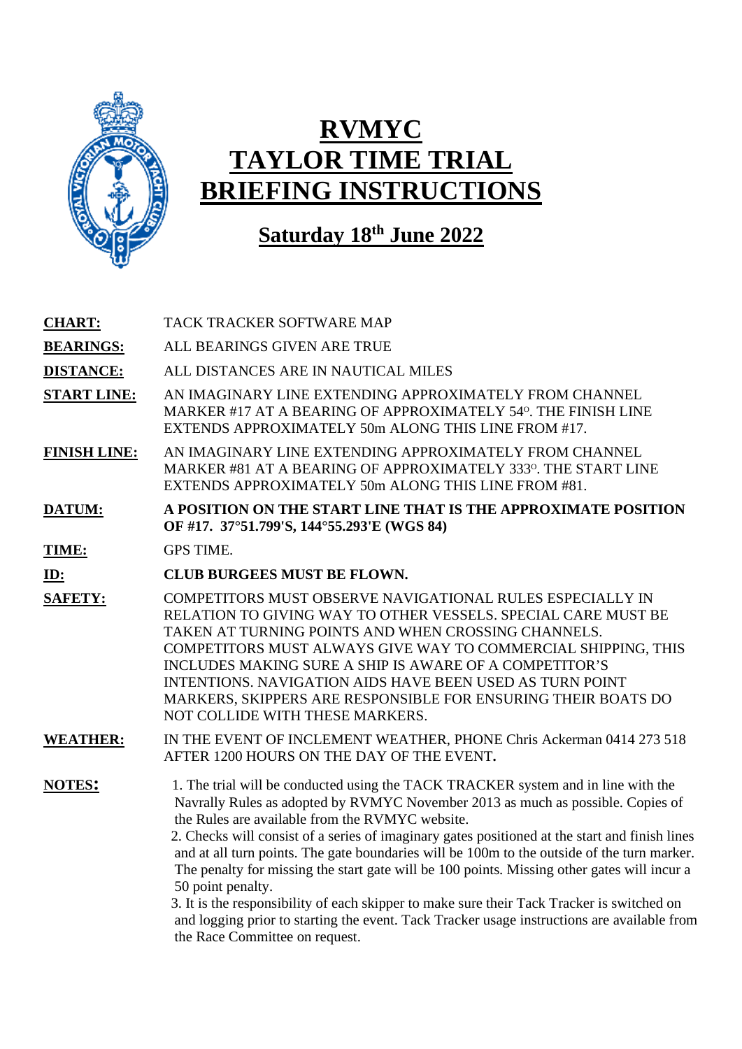

## **RVMYC TAYLOR TIME TRIAL BRIEFING INSTRUCTIONS**

## **Saturday 18th June 2022**

| <b>CHART:</b>       | TACK TRACKER SOFTWARE MAP                                                                                                                                                                                                                                                                                                                                                                                                                                                                                                                                                                                                                                                                                                                                                   |  |  |  |  |  |
|---------------------|-----------------------------------------------------------------------------------------------------------------------------------------------------------------------------------------------------------------------------------------------------------------------------------------------------------------------------------------------------------------------------------------------------------------------------------------------------------------------------------------------------------------------------------------------------------------------------------------------------------------------------------------------------------------------------------------------------------------------------------------------------------------------------|--|--|--|--|--|
| <b>BEARINGS:</b>    | ALL BEARINGS GIVEN ARE TRUE                                                                                                                                                                                                                                                                                                                                                                                                                                                                                                                                                                                                                                                                                                                                                 |  |  |  |  |  |
| <b>DISTANCE:</b>    | ALL DISTANCES ARE IN NAUTICAL MILES                                                                                                                                                                                                                                                                                                                                                                                                                                                                                                                                                                                                                                                                                                                                         |  |  |  |  |  |
| <b>START LINE:</b>  | AN IMAGINARY LINE EXTENDING APPROXIMATELY FROM CHANNEL<br>MARKER #17 AT A BEARING OF APPROXIMATELY 540. THE FINISH LINE<br>EXTENDS APPROXIMATELY 50m ALONG THIS LINE FROM #17.                                                                                                                                                                                                                                                                                                                                                                                                                                                                                                                                                                                              |  |  |  |  |  |
| <b>FINISH LINE:</b> | AN IMAGINARY LINE EXTENDING APPROXIMATELY FROM CHANNEL<br>MARKER #81 AT A BEARING OF APPROXIMATELY 333°. THE START LINE<br>EXTENDS APPROXIMATELY 50m ALONG THIS LINE FROM #81.                                                                                                                                                                                                                                                                                                                                                                                                                                                                                                                                                                                              |  |  |  |  |  |
| DATUM:              | A POSITION ON THE START LINE THAT IS THE APPROXIMATE POSITION<br>OF #17. 37°51.799'S, 144°55.293'E (WGS 84)                                                                                                                                                                                                                                                                                                                                                                                                                                                                                                                                                                                                                                                                 |  |  |  |  |  |
| TIME:               | <b>GPS TIME.</b>                                                                                                                                                                                                                                                                                                                                                                                                                                                                                                                                                                                                                                                                                                                                                            |  |  |  |  |  |
| ID:                 | <b>CLUB BURGEES MUST BE FLOWN.</b>                                                                                                                                                                                                                                                                                                                                                                                                                                                                                                                                                                                                                                                                                                                                          |  |  |  |  |  |
| <b>SAFETY:</b>      | COMPETITORS MUST OBSERVE NAVIGATIONAL RULES ESPECIALLY IN<br>RELATION TO GIVING WAY TO OTHER VESSELS. SPECIAL CARE MUST BE<br>TAKEN AT TURNING POINTS AND WHEN CROSSING CHANNELS.<br>COMPETITORS MUST ALWAYS GIVE WAY TO COMMERCIAL SHIPPING, THIS<br>INCLUDES MAKING SURE A SHIP IS AWARE OF A COMPETITOR'S<br><b>INTENTIONS. NAVIGATION AIDS HAVE BEEN USED AS TURN POINT</b><br>MARKERS, SKIPPERS ARE RESPONSIBLE FOR ENSURING THEIR BOATS DO<br>NOT COLLIDE WITH THESE MARKERS.                                                                                                                                                                                                                                                                                         |  |  |  |  |  |
| <b>WEATHER:</b>     | IN THE EVENT OF INCLEMENT WEATHER, PHONE Chris Ackerman 0414 273 518<br>AFTER 1200 HOURS ON THE DAY OF THE EVENT.                                                                                                                                                                                                                                                                                                                                                                                                                                                                                                                                                                                                                                                           |  |  |  |  |  |
| <b>NOTES:</b>       | 1. The trial will be conducted using the TACK TRACKER system and in line with the<br>Navrally Rules as adopted by RVMYC November 2013 as much as possible. Copies of<br>the Rules are available from the RVMYC website.<br>2. Checks will consist of a series of imaginary gates positioned at the start and finish lines<br>and at all turn points. The gate boundaries will be 100m to the outside of the turn marker.<br>The penalty for missing the start gate will be 100 points. Missing other gates will incur a<br>50 point penalty.<br>3. It is the responsibility of each skipper to make sure their Tack Tracker is switched on<br>and logging prior to starting the event. Tack Tracker usage instructions are available from<br>the Race Committee on request. |  |  |  |  |  |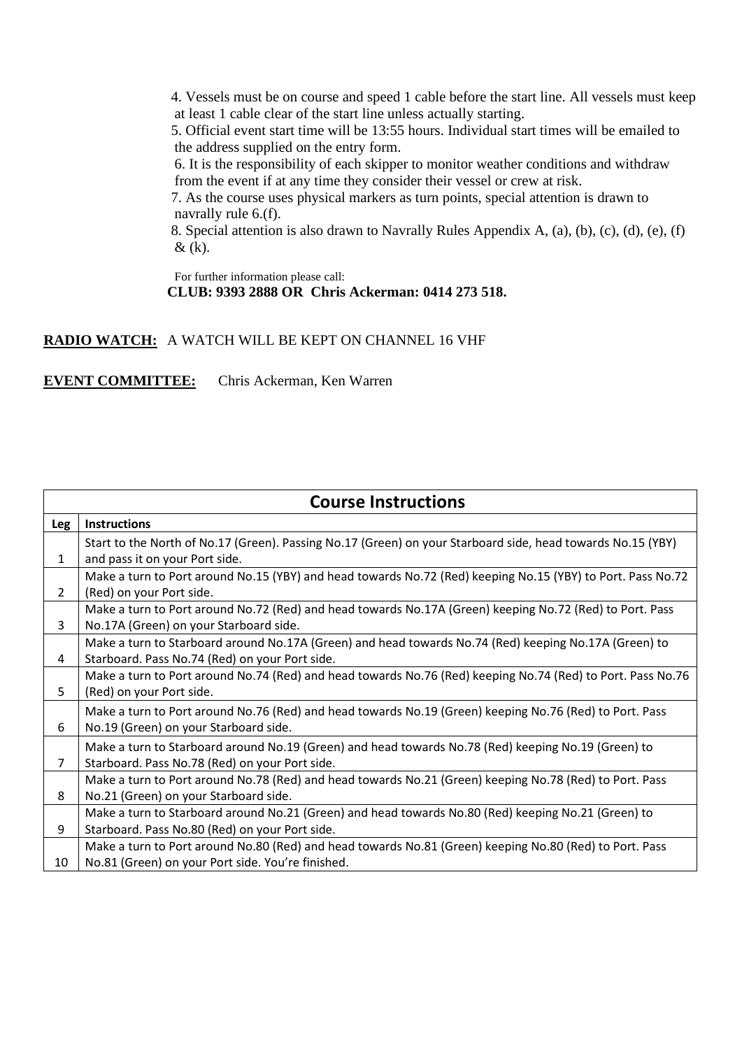4. Vessels must be on course and speed 1 cable before the start line. All vessels must keep at least 1 cable clear of the start line unless actually starting.

 5. Official event start time will be 13:55 hours. Individual start times will be emailed to the address supplied on the entry form.

6. It is the responsibility of each skipper to monitor weather conditions and withdraw from the event if at any time they consider their vessel or crew at risk.

 7. As the course uses physical markers as turn points, special attention is drawn to navrally rule 6.(f).

 8. Special attention is also drawn to Navrally Rules Appendix A, (a), (b), (c), (d), (e), (f)  $\&$  (k).

For further information please call: **CLUB: 9393 2888 OR Chris Ackerman: 0414 273 518.** 

## **RADIO WATCH:** A WATCH WILL BE KEPT ON CHANNEL 16 VHF

**EVENT COMMITTEE:** Chris Ackerman, Ken Warren

| <b>Course Instructions</b> |                                                                                                             |  |  |  |  |  |
|----------------------------|-------------------------------------------------------------------------------------------------------------|--|--|--|--|--|
| Leg                        | <b>Instructions</b>                                                                                         |  |  |  |  |  |
|                            | Start to the North of No.17 (Green). Passing No.17 (Green) on your Starboard side, head towards No.15 (YBY) |  |  |  |  |  |
| $\mathbf{1}$               | and pass it on your Port side.                                                                              |  |  |  |  |  |
|                            | Make a turn to Port around No.15 (YBY) and head towards No.72 (Red) keeping No.15 (YBY) to Port. Pass No.72 |  |  |  |  |  |
| 2                          | (Red) on your Port side.                                                                                    |  |  |  |  |  |
|                            | Make a turn to Port around No.72 (Red) and head towards No.17A (Green) keeping No.72 (Red) to Port. Pass    |  |  |  |  |  |
| 3                          | No.17A (Green) on your Starboard side.                                                                      |  |  |  |  |  |
|                            | Make a turn to Starboard around No.17A (Green) and head towards No.74 (Red) keeping No.17A (Green) to       |  |  |  |  |  |
| 4                          | Starboard. Pass No.74 (Red) on your Port side.                                                              |  |  |  |  |  |
|                            | Make a turn to Port around No.74 (Red) and head towards No.76 (Red) keeping No.74 (Red) to Port. Pass No.76 |  |  |  |  |  |
| 5                          | (Red) on your Port side.                                                                                    |  |  |  |  |  |
|                            | Make a turn to Port around No.76 (Red) and head towards No.19 (Green) keeping No.76 (Red) to Port. Pass     |  |  |  |  |  |
| 6                          | No.19 (Green) on your Starboard side.                                                                       |  |  |  |  |  |
|                            | Make a turn to Starboard around No.19 (Green) and head towards No.78 (Red) keeping No.19 (Green) to         |  |  |  |  |  |
| $\overline{7}$             | Starboard. Pass No.78 (Red) on your Port side.                                                              |  |  |  |  |  |
|                            | Make a turn to Port around No.78 (Red) and head towards No.21 (Green) keeping No.78 (Red) to Port. Pass     |  |  |  |  |  |
| 8                          | No.21 (Green) on your Starboard side.                                                                       |  |  |  |  |  |
|                            | Make a turn to Starboard around No.21 (Green) and head towards No.80 (Red) keeping No.21 (Green) to         |  |  |  |  |  |
| 9                          | Starboard. Pass No.80 (Red) on your Port side.                                                              |  |  |  |  |  |
|                            | Make a turn to Port around No.80 (Red) and head towards No.81 (Green) keeping No.80 (Red) to Port. Pass     |  |  |  |  |  |
| 10                         | No.81 (Green) on your Port side. You're finished.                                                           |  |  |  |  |  |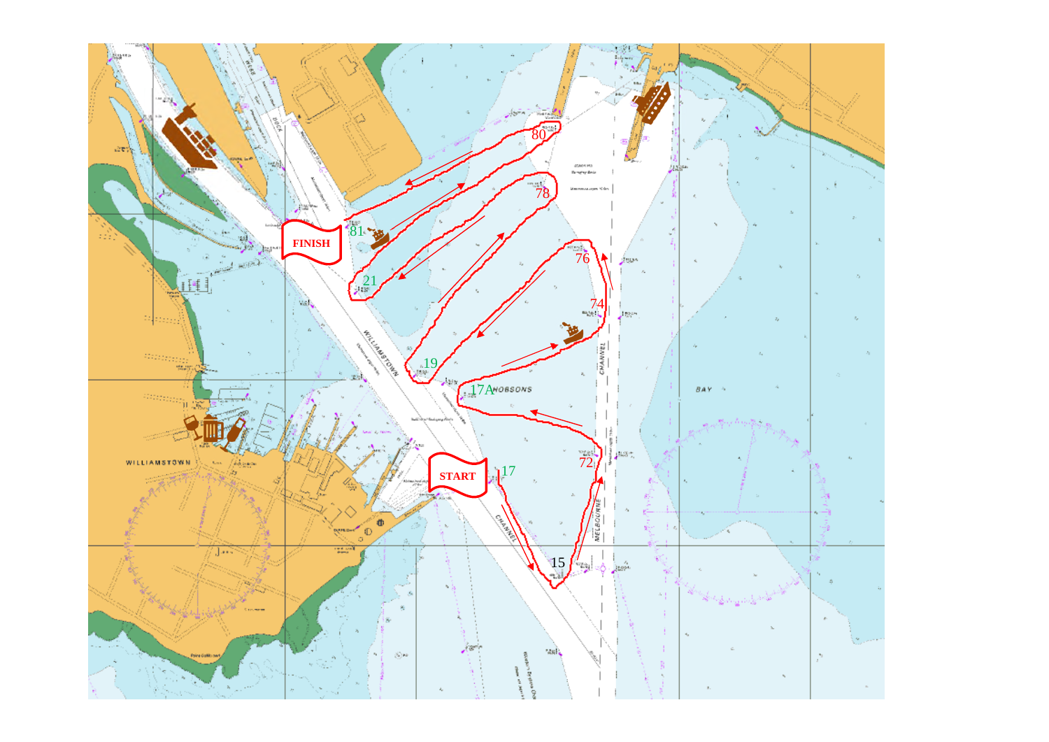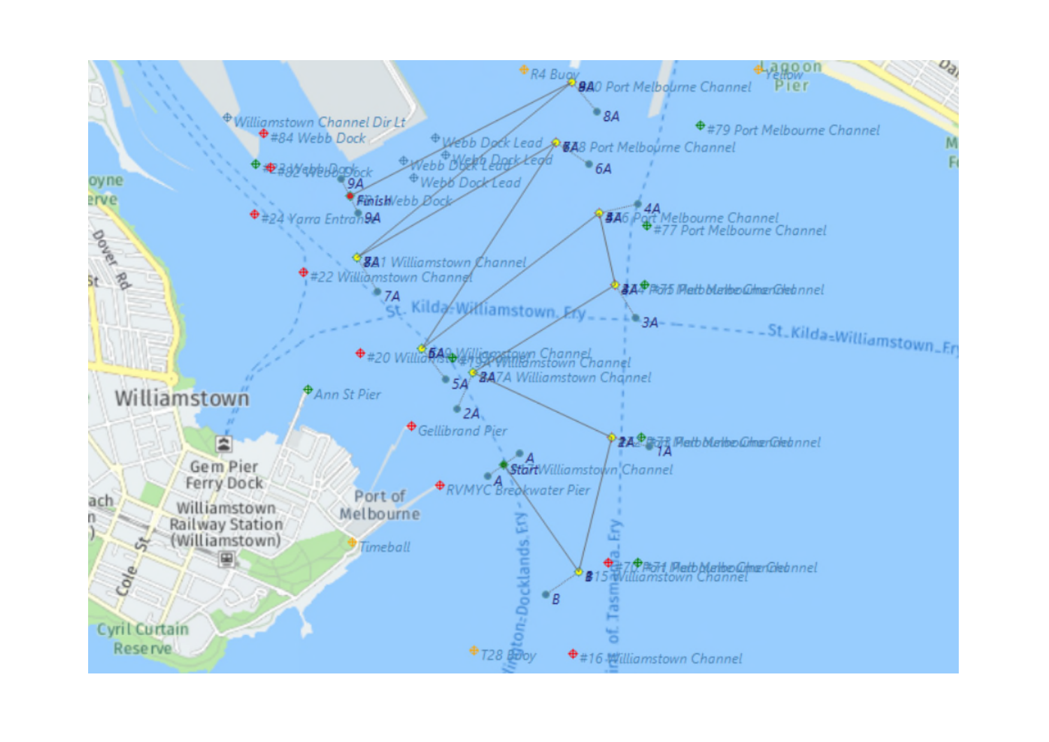